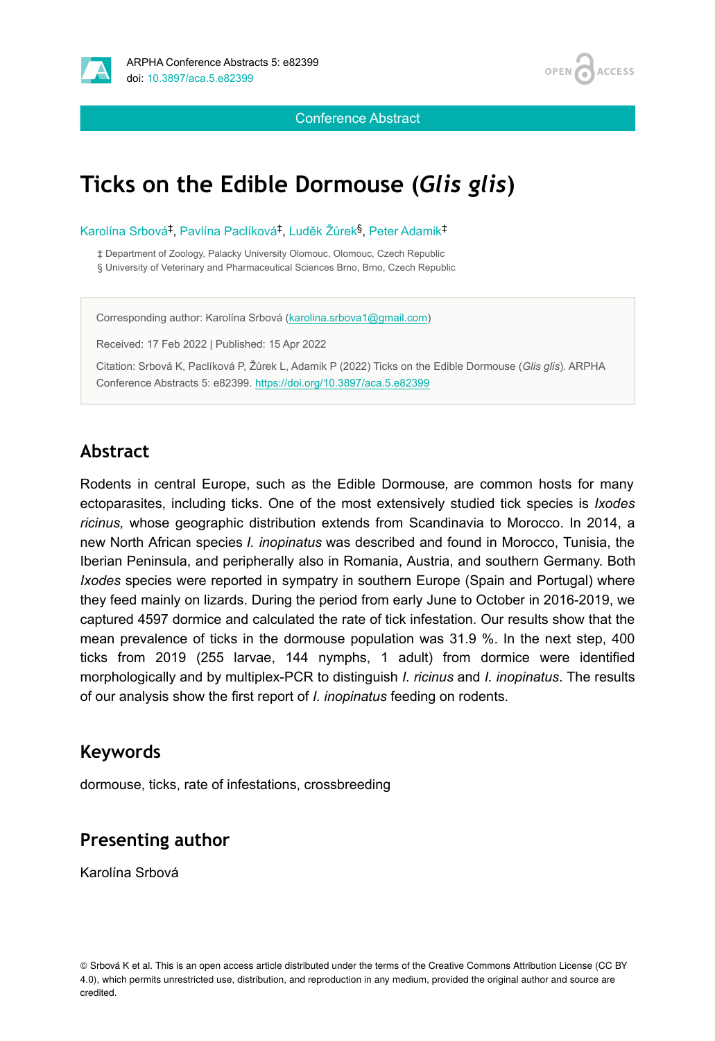

**ACCESS OPEN** 

Conference Abstract

# **Ticks on the Edible Dormouse (***Glis glis***)**

Karolína Srbová<sup>‡</sup>, Pavlína Paclíková<sup>‡</sup>, Luděk Žůrek<sup>§</sup>, Peter Adamik<sup>‡</sup>

‡ Department of Zoology, Palacky University Olomouc, Olomouc, Czech Republic § University of Veterinary and Pharmaceutical Sciences Brno, Brno, Czech Republic

Corresponding author: Karolína Srbová ([karolina.srbova1@gmail.com](mailto:karolina.srbova1@gmail.com))

Received: 17 Feb 2022 | Published: 15 Apr 2022

Citation: Srbová K, Paclíková P, Žůrek L, Adamik P (2022) Ticks on the Edible Dormouse (*Glis glis*). ARPHA Conference Abstracts 5: e82399. <https://doi.org/10.3897/aca.5.e82399>

### **Abstract**

Rodents in central Europe, such as the Edible Dormouse*,* are common hosts for many ectoparasites, including ticks. One of the most extensively studied tick species is *Ixodes ricinus,* whose geographic distribution extends from Scandinavia to Morocco. In 2014, a new North African species *I. inopinatus* was described and found in Morocco, Tunisia, the Iberian Peninsula, and peripherally also in Romania, Austria, and southern Germany. Both *Ixodes* species were reported in sympatry in southern Europe (Spain and Portugal) where they feed mainly on lizards. During the period from early June to October in 2016-2019, we captured 4597 dormice and calculated the rate of tick infestation. Our results show that the mean prevalence of ticks in the dormouse population was 31.9 %. In the next step, 400 ticks from 2019 (255 larvae, 144 nymphs, 1 adult) from dormice were identified morphologically and by multiplex-PCR to distinguish *I. ricinus* and *I. inopinatus*. The results of our analysis show the first report of *I. inopinatus* feeding on rodents.

#### **Keywords**

dormouse, ticks, rate of infestations, crossbreeding

#### **Presenting author**

Karolína Srbová